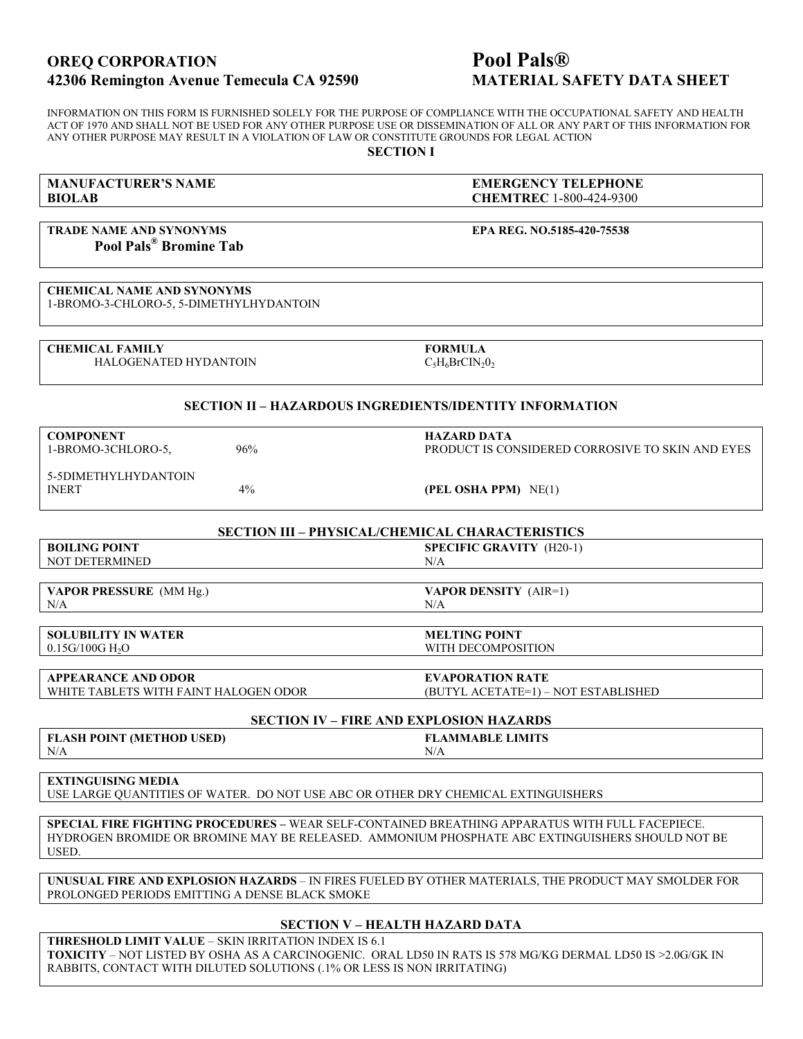# OREQ CORPORATION Pool Pals<sup>®</sup> 42306 Remington Avenue Temecula CA 92590 MATERIAL SAFETY DATA SHEET

INFORMATION ON THIS FORM IS FURNISHED SOLELY FOR THE PURPOSE OF COMPLIANCE WITH THE OCCUPATIONAL SAFETY AND HEALTH ACT OF 1970 AND SHALL NOT BE USED FOR ANY OTHER PURPOSE USE OR DISSEMINATION OF ALL OR ANY PART OF THIS INFORMATION FOR ANY OTHER PURPOSE MAY RESULT IN A VIOLATION OF LAW OR CONSTITUTE GROUNDS FOR LEGAL ACTION

SECTION I

# BIOLAB CHEMTREC 1-800-424-9300

MANUFACTURER'S NAME EMERGENCY TELEPHONE

# TRADE NAME AND SYNONYMS EPA REG. NO.5185-420-75538 Pool Pals® Bromine Tab

CHEMICAL NAME AND SYNONYMS 1-BROMO-3-CHLORO-5, 5-DIMETHYLHYDANTOIN

CHEMICAL FAMILY **FORMULA** HALOGENATED HYDANTOIN

 $C_5H_6BrCIN_2O_2$ 

#### SECTION II – HAZARDOUS INGREDIENTS/IDENTITY INFORMATION

| <b>COMPONENT</b><br>1-BROMO-3CHLORO-5. | 96%   | <b>HAZARD DATA</b><br>PRODUCT IS CONSIDERED CORROSIVE TO SKIN AND EYES |
|----------------------------------------|-------|------------------------------------------------------------------------|
| 5-5DIMETHYLHYDANTOIN<br><b>INERT</b>   | $4\%$ | (PEL OSHA PPM) NE(1)                                                   |

# SECTION III – PHYSICAL/CHEMICAL CHARACTERISTICS

BOILING POINT SPECIFIC GRAVITY (H20-1) NOT DETERMINED N/A

VAPOR PRESSURE (MM Hg.) VAPOR DENSITY (AIR=1)  $N/A$   $N/A$ 

SOLUBILITY IN WATER<br>
0.15G/100G H<sub>2</sub>O<br>
MITH DECOMPOS

WITH DECOMPOSITION

APPEARANCE AND ODOR EVAPORATION RATE WHITE TABLETS WITH FAINT HALOGEN ODOR (BUTYL ACETATE=1) – NOT ESTABLISHED

#### SECTION IV – FIRE AND EXPLOSION HAZARDS FLASH POINT (METHOD USED) FLAMMABLE LIMITS  $N/A$   $N/A$

# EXTINGUISING MEDIA

USE LARGE QUANTITIES OF WATER. DO NOT USE ABC OR OTHER DRY CHEMICAL EXTINGUISHERS

SPECIAL FIRE FIGHTING PROCEDURES – WEAR SELF-CONTAINED BREATHING APPARATUS WITH FULL FACEPIECE. HYDROGEN BROMIDE OR BROMINE MAY BE RELEASED. AMMONIUM PHOSPHATE ABC EXTINGUISHERS SHOULD NOT BE **USED** 

UNUSUAL FIRE AND EXPLOSION HAZARDS – IN FIRES FUELED BY OTHER MATERIALS, THE PRODUCT MAY SMOLDER FOR PROLONGED PERIODS EMITTING A DENSE BLACK SMOKE

# SECTION V – HEALTH HAZARD DATA

THRESHOLD LIMIT VALUE – SKIN IRRITATION INDEX IS 6.1 TOXICITY – NOT LISTED BY OSHA AS A CARCINOGENIC. ORAL LD50 IN RATS IS 578 MG/KG DERMAL LD50 IS >2.0G/GK IN RABBITS, CONTACT WITH DILUTED SOLUTIONS (.1% OR LESS IS NON IRRITATING)